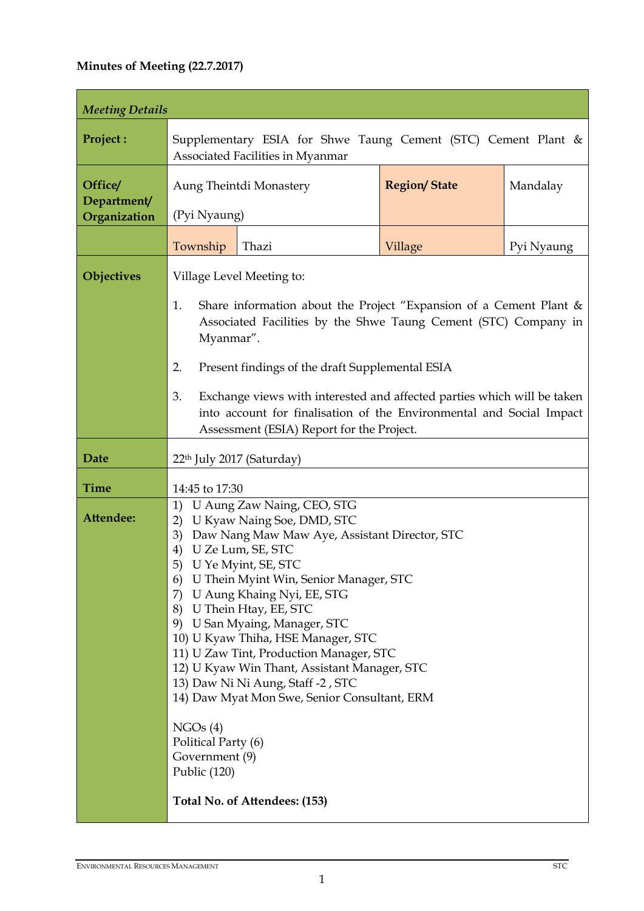# **Minutes of Meeting (22.7.2017)**

| <b>Meeting Details</b>                 |                                                                                                                                                                                                                                                                                                                                                                                                                                                                                                                                                                                                                                                                 |                                           |                     |            |  |
|----------------------------------------|-----------------------------------------------------------------------------------------------------------------------------------------------------------------------------------------------------------------------------------------------------------------------------------------------------------------------------------------------------------------------------------------------------------------------------------------------------------------------------------------------------------------------------------------------------------------------------------------------------------------------------------------------------------------|-------------------------------------------|---------------------|------------|--|
| Project:                               | Supplementary ESIA for Shwe Taung Cement (STC) Cement Plant &<br>Associated Facilities in Myanmar                                                                                                                                                                                                                                                                                                                                                                                                                                                                                                                                                               |                                           |                     |            |  |
| Office/<br>Department/<br>Organization | Aung Theintdi Monastery<br>(Pyi Nyaung)                                                                                                                                                                                                                                                                                                                                                                                                                                                                                                                                                                                                                         |                                           | <b>Region/State</b> | Mandalay   |  |
|                                        | Township                                                                                                                                                                                                                                                                                                                                                                                                                                                                                                                                                                                                                                                        | Thazi                                     | Village             | Pyi Nyaung |  |
| Objectives                             | Village Level Meeting to:<br>Share information about the Project "Expansion of a Cement Plant $\&$<br>1.<br>Associated Facilities by the Shwe Taung Cement (STC) Company in<br>Myanmar".<br>2.<br>Present findings of the draft Supplemental ESIA<br>3.<br>Exchange views with interested and affected parties which will be taken<br>into account for finalisation of the Environmental and Social Impact                                                                                                                                                                                                                                                      |                                           |                     |            |  |
|                                        |                                                                                                                                                                                                                                                                                                                                                                                                                                                                                                                                                                                                                                                                 | Assessment (ESIA) Report for the Project. |                     |            |  |
| <b>Date</b>                            |                                                                                                                                                                                                                                                                                                                                                                                                                                                                                                                                                                                                                                                                 | 22 <sup>th</sup> July 2017 (Saturday)     |                     |            |  |
| <b>Time</b>                            | 14:45 to 17:30                                                                                                                                                                                                                                                                                                                                                                                                                                                                                                                                                                                                                                                  |                                           |                     |            |  |
| Attendee:                              | U Aung Zaw Naing, CEO, STG<br>1)<br>U Kyaw Naing Soe, DMD, STC<br>2)<br>3)<br>Daw Nang Maw Maw Aye, Assistant Director, STC<br>U Ze Lum, SE, STC<br>4)<br>U Ye Myint, SE, STC<br>5)<br>U Thein Myint Win, Senior Manager, STC<br>6)<br>U Aung Khaing Nyi, EE, STG<br>7)<br>8) U Thein Htay, EE, STC<br>9) U San Myaing, Manager, STC<br>10) U Kyaw Thiha, HSE Manager, STC<br>11) U Zaw Tint, Production Manager, STC<br>12) U Kyaw Win Thant, Assistant Manager, STC<br>13) Daw Ni Ni Aung, Staff -2, STC<br>14) Daw Myat Mon Swe, Senior Consultant, ERM<br>NGOs(4)<br>Political Party (6)<br>Government (9)<br>Public (120)<br>Total No. of Attendees: (153) |                                           |                     |            |  |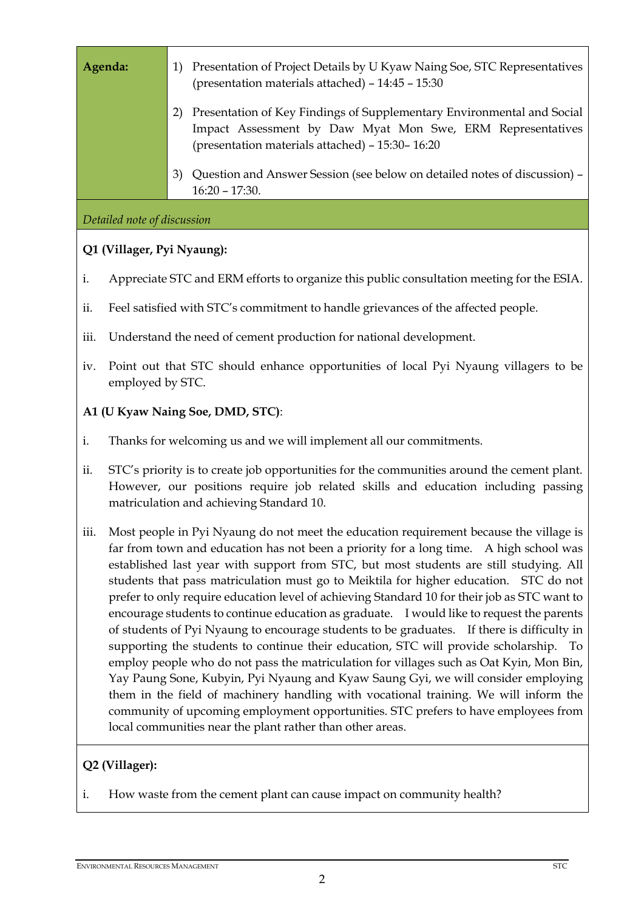| Agenda:        |                                                                                                                                                                                                                                                                                                                                                                                                                                                                                                                                                                                                                                                                                                                                                                                                                                                                                                                                                                                                                                                                                                                                                                                    |                                                                                                         | 1) Presentation of Project Details by U Kyaw Naing Soe, STC Representatives<br>(presentation materials attached) - 14:45 - 15:30                                                        |  |  |  |
|----------------|------------------------------------------------------------------------------------------------------------------------------------------------------------------------------------------------------------------------------------------------------------------------------------------------------------------------------------------------------------------------------------------------------------------------------------------------------------------------------------------------------------------------------------------------------------------------------------------------------------------------------------------------------------------------------------------------------------------------------------------------------------------------------------------------------------------------------------------------------------------------------------------------------------------------------------------------------------------------------------------------------------------------------------------------------------------------------------------------------------------------------------------------------------------------------------|---------------------------------------------------------------------------------------------------------|-----------------------------------------------------------------------------------------------------------------------------------------------------------------------------------------|--|--|--|
|                |                                                                                                                                                                                                                                                                                                                                                                                                                                                                                                                                                                                                                                                                                                                                                                                                                                                                                                                                                                                                                                                                                                                                                                                    | 2)                                                                                                      | Presentation of Key Findings of Supplementary Environmental and Social<br>Impact Assessment by Daw Myat Mon Swe, ERM Representatives<br>(presentation materials attached) - 15:30-16:20 |  |  |  |
|                |                                                                                                                                                                                                                                                                                                                                                                                                                                                                                                                                                                                                                                                                                                                                                                                                                                                                                                                                                                                                                                                                                                                                                                                    | 3)                                                                                                      | Question and Answer Session (see below on detailed notes of discussion) -<br>$16:20 - 17:30.$                                                                                           |  |  |  |
|                | Detailed note of discussion                                                                                                                                                                                                                                                                                                                                                                                                                                                                                                                                                                                                                                                                                                                                                                                                                                                                                                                                                                                                                                                                                                                                                        |                                                                                                         |                                                                                                                                                                                         |  |  |  |
|                | Q1 (Villager, Pyi Nyaung):                                                                                                                                                                                                                                                                                                                                                                                                                                                                                                                                                                                                                                                                                                                                                                                                                                                                                                                                                                                                                                                                                                                                                         |                                                                                                         |                                                                                                                                                                                         |  |  |  |
| i.             | Appreciate STC and ERM efforts to organize this public consultation meeting for the ESIA.                                                                                                                                                                                                                                                                                                                                                                                                                                                                                                                                                                                                                                                                                                                                                                                                                                                                                                                                                                                                                                                                                          |                                                                                                         |                                                                                                                                                                                         |  |  |  |
| ii.            | Feel satisfied with STC's commitment to handle grievances of the affected people.                                                                                                                                                                                                                                                                                                                                                                                                                                                                                                                                                                                                                                                                                                                                                                                                                                                                                                                                                                                                                                                                                                  |                                                                                                         |                                                                                                                                                                                         |  |  |  |
| iii.           |                                                                                                                                                                                                                                                                                                                                                                                                                                                                                                                                                                                                                                                                                                                                                                                                                                                                                                                                                                                                                                                                                                                                                                                    | Understand the need of cement production for national development.                                      |                                                                                                                                                                                         |  |  |  |
| iv.            |                                                                                                                                                                                                                                                                                                                                                                                                                                                                                                                                                                                                                                                                                                                                                                                                                                                                                                                                                                                                                                                                                                                                                                                    | Point out that STC should enhance opportunities of local Pyi Nyaung villagers to be<br>employed by STC. |                                                                                                                                                                                         |  |  |  |
|                |                                                                                                                                                                                                                                                                                                                                                                                                                                                                                                                                                                                                                                                                                                                                                                                                                                                                                                                                                                                                                                                                                                                                                                                    |                                                                                                         | A1 (U Kyaw Naing Soe, DMD, STC):                                                                                                                                                        |  |  |  |
| i.             |                                                                                                                                                                                                                                                                                                                                                                                                                                                                                                                                                                                                                                                                                                                                                                                                                                                                                                                                                                                                                                                                                                                                                                                    | Thanks for welcoming us and we will implement all our commitments.                                      |                                                                                                                                                                                         |  |  |  |
| ii.            | STC's priority is to create job opportunities for the communities around the cement plant.<br>However, our positions require job related skills and education including passing<br>matriculation and achieving Standard 10.                                                                                                                                                                                                                                                                                                                                                                                                                                                                                                                                                                                                                                                                                                                                                                                                                                                                                                                                                        |                                                                                                         |                                                                                                                                                                                         |  |  |  |
| iii.           | Most people in Pyi Nyaung do not meet the education requirement because the village is<br>far from town and education has not been a priority for a long time. A high school was<br>established last year with support from STC, but most students are still studying. All<br>students that pass matriculation must go to Meiktila for higher education. STC do not<br>prefer to only require education level of achieving Standard 10 for their job as STC want to<br>encourage students to continue education as graduate. I would like to request the parents<br>of students of Pyi Nyaung to encourage students to be graduates. If there is difficulty in<br>supporting the students to continue their education, STC will provide scholarship. To<br>employ people who do not pass the matriculation for villages such as Oat Kyin, Mon Bin,<br>Yay Paung Sone, Kubyin, Pyi Nyaung and Kyaw Saung Gyi, we will consider employing<br>them in the field of machinery handling with vocational training. We will inform the<br>community of upcoming employment opportunities. STC prefers to have employees from<br>local communities near the plant rather than other areas. |                                                                                                         |                                                                                                                                                                                         |  |  |  |
| Q2 (Villager): |                                                                                                                                                                                                                                                                                                                                                                                                                                                                                                                                                                                                                                                                                                                                                                                                                                                                                                                                                                                                                                                                                                                                                                                    |                                                                                                         |                                                                                                                                                                                         |  |  |  |
| i.             |                                                                                                                                                                                                                                                                                                                                                                                                                                                                                                                                                                                                                                                                                                                                                                                                                                                                                                                                                                                                                                                                                                                                                                                    | How waste from the cement plant can cause impact on community health?                                   |                                                                                                                                                                                         |  |  |  |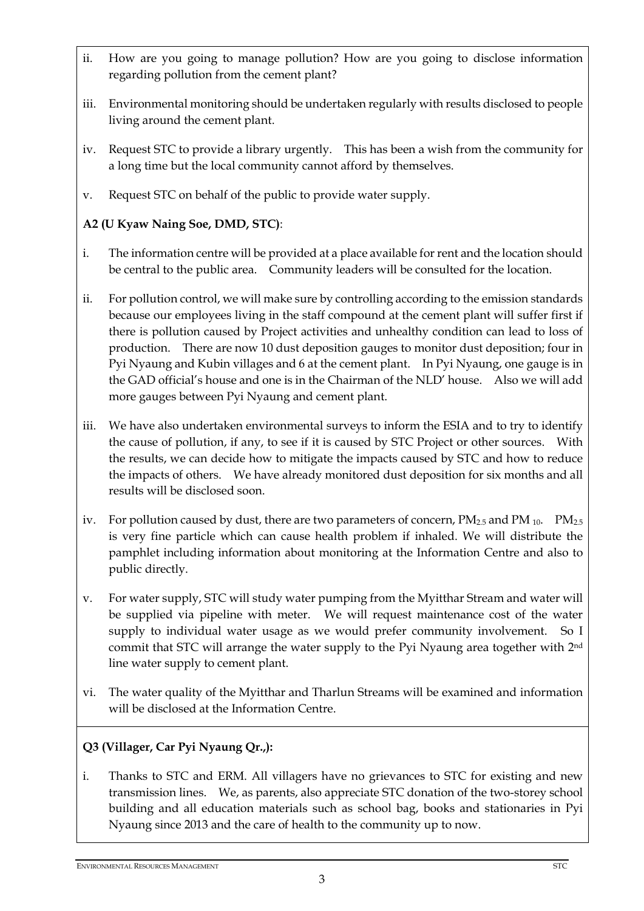- ii. How are you going to manage pollution? How are you going to disclose information regarding pollution from the cement plant?
- iii. Environmental monitoring should be undertaken regularly with results disclosed to people living around the cement plant.
- iv. Request STC to provide a library urgently. This has been a wish from the community for a long time but the local community cannot afford by themselves.
- v. Request STC on behalf of the public to provide water supply.

# **A2 (U Kyaw Naing Soe, DMD, STC)**:

- i. The information centre will be provided at a place available for rent and the location should be central to the public area. Community leaders will be consulted for the location.
- ii. For pollution control, we will make sure by controlling according to the emission standards because our employees living in the staff compound at the cement plant will suffer first if there is pollution caused by Project activities and unhealthy condition can lead to loss of production. There are now 10 dust deposition gauges to monitor dust deposition; four in Pyi Nyaung and Kubin villages and 6 at the cement plant. In Pyi Nyaung, one gauge is in the GAD official's house and one is in the Chairman of the NLD' house. Also we will add more gauges between Pyi Nyaung and cement plant.
- iii. We have also undertaken environmental surveys to inform the ESIA and to try to identify the cause of pollution, if any, to see if it is caused by STC Project or other sources. With the results, we can decide how to mitigate the impacts caused by STC and how to reduce the impacts of others. We have already monitored dust deposition for six months and all results will be disclosed soon.
- iv. For pollution caused by dust, there are two parameters of concern,  $PM_{2.5}$  and  $PM_{10}$ .  $PM_{2.5}$ is very fine particle which can cause health problem if inhaled. We will distribute the pamphlet including information about monitoring at the Information Centre and also to public directly.
- v. For water supply, STC will study water pumping from the Myitthar Stream and water will be supplied via pipeline with meter. We will request maintenance cost of the water supply to individual water usage as we would prefer community involvement. So I commit that STC will arrange the water supply to the Pyi Nyaung area together with 2nd line water supply to cement plant.
- vi. The water quality of the Myitthar and Tharlun Streams will be examined and information will be disclosed at the Information Centre.

# **Q3 (Villager, Car Pyi Nyaung Qr.,):**

i. Thanks to STC and ERM. All villagers have no grievances to STC for existing and new transmission lines. We, as parents, also appreciate STC donation of the two-storey school building and all education materials such as school bag, books and stationaries in Pyi Nyaung since 2013 and the care of health to the community up to now.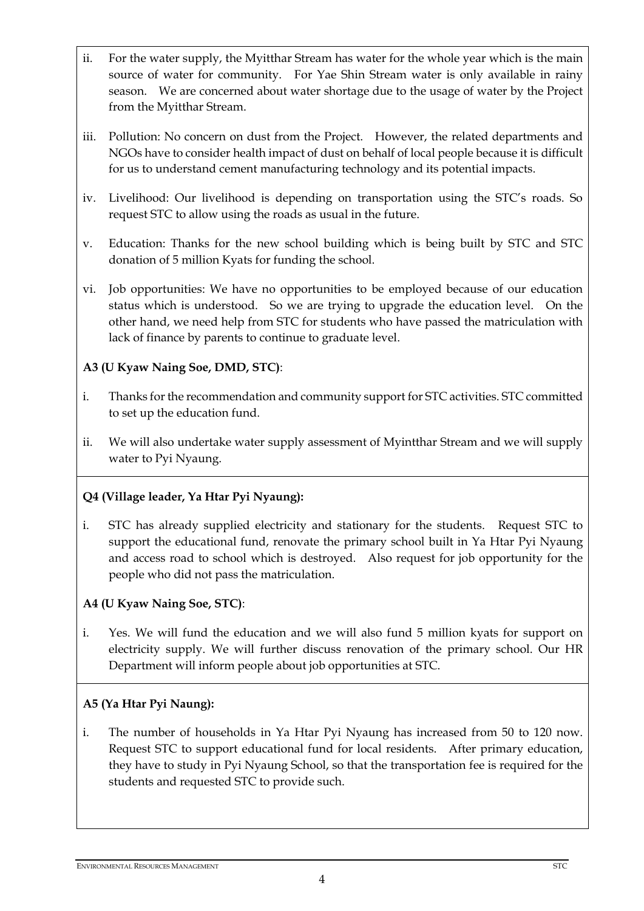- ii. For the water supply, the Myitthar Stream has water for the whole year which is the main source of water for community. For Yae Shin Stream water is only available in rainy season. We are concerned about water shortage due to the usage of water by the Project from the Myitthar Stream.
- iii. Pollution: No concern on dust from the Project. However, the related departments and NGOs have to consider health impact of dust on behalf of local people because it is difficult for us to understand cement manufacturing technology and its potential impacts.
- iv. Livelihood: Our livelihood is depending on transportation using the STC's roads. So request STC to allow using the roads as usual in the future.
- v. Education: Thanks for the new school building which is being built by STC and STC donation of 5 million Kyats for funding the school.
- vi. Job opportunities: We have no opportunities to be employed because of our education status which is understood. So we are trying to upgrade the education level. On the other hand, we need help from STC for students who have passed the matriculation with lack of finance by parents to continue to graduate level.

#### **A3 (U Kyaw Naing Soe, DMD, STC)**:

- i. Thanks for the recommendation and community support for STC activities. STC committed to set up the education fund.
- ii. We will also undertake water supply assessment of Myintthar Stream and we will supply water to Pyi Nyaung.

#### **Q4 (Village leader, Ya Htar Pyi Nyaung):**

i. STC has already supplied electricity and stationary for the students. Request STC to support the educational fund, renovate the primary school built in Ya Htar Pyi Nyaung and access road to school which is destroyed. Also request for job opportunity for the people who did not pass the matriculation.

#### **A4 (U Kyaw Naing Soe, STC)**:

i. Yes. We will fund the education and we will also fund 5 million kyats for support on electricity supply. We will further discuss renovation of the primary school. Our HR Department will inform people about job opportunities at STC.

#### **A5 (Ya Htar Pyi Naung):**

i. The number of households in Ya Htar Pyi Nyaung has increased from 50 to 120 now. Request STC to support educational fund for local residents. After primary education, they have to study in Pyi Nyaung School, so that the transportation fee is required for the students and requested STC to provide such.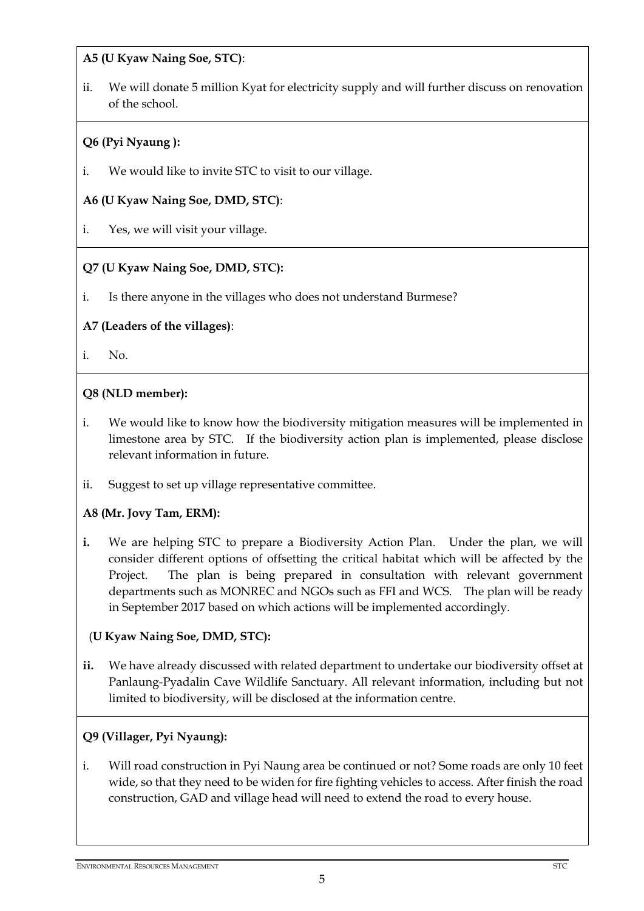**A5 (U Kyaw Naing Soe, STC)**:

ii. We will donate 5 million Kyat for electricity supply and will further discuss on renovation of the school.

# **Q6 (Pyi Nyaung ):**

i. We would like to invite STC to visit to our village.

# **A6 (U Kyaw Naing Soe, DMD, STC)**:

i. Yes, we will visit your village.

# **Q7 (U Kyaw Naing Soe, DMD, STC):**

i. Is there anyone in the villages who does not understand Burmese?

#### **A7 (Leaders of the villages)**:

i. No.

# **Q8 (NLD member):**

- i. We would like to know how the biodiversity mitigation measures will be implemented in limestone area by STC. If the biodiversity action plan is implemented, please disclose relevant information in future.
- ii. Suggest to set up village representative committee.

#### **A8 (Mr. Jovy Tam, ERM):**

- **i.** We are helping STC to prepare a Biodiversity Action Plan. Under the plan, we will consider different options of offsetting the critical habitat which will be affected by the Project. The plan is being prepared in consultation with relevant government departments such as MONREC and NGOs such as FFI and WCS. The plan will be ready in September 2017 based on which actions will be implemented accordingly.
	- (**U Kyaw Naing Soe, DMD, STC):**
- **ii.** We have already discussed with related department to undertake our biodiversity offset at Panlaung-Pyadalin Cave Wildlife Sanctuary. All relevant information, including but not limited to biodiversity, will be disclosed at the information centre.

# **Q9 (Villager, Pyi Nyaung):**

i. Will road construction in Pyi Naung area be continued or not? Some roads are only 10 feet wide, so that they need to be widen for fire fighting vehicles to access. After finish the road construction, GAD and village head will need to extend the road to every house.

#### ENVIRONMENTAL RESOURCES MANAGEMENT STC